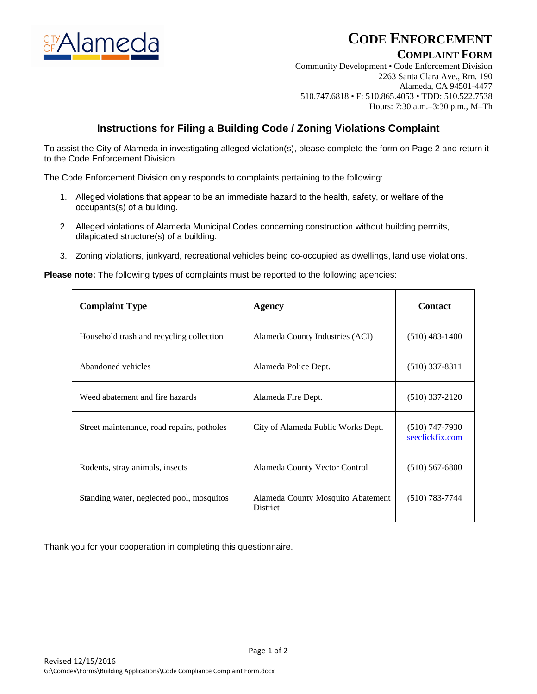

# **CODE ENFORCEMENT**

## **COMPLAINT FORM**

Community Development • Code Enforcement Division 2263 Santa Clara Ave., Rm. 190 Alameda, CA 94501-4477 510.747.6818 • F: 510.865.4053 • TDD: 510.522.7538 Hours: 7:30 a.m.–3:30 p.m., M–Th

## **Instructions for Filing a Building Code / Zoning Violations Complaint**

To assist the City of Alameda in investigating alleged violation(s), please complete the form on Page 2 and return it to the Code Enforcement Division.

The Code Enforcement Division only responds to complaints pertaining to the following:

- 1. Alleged violations that appear to be an immediate hazard to the health, safety, or welfare of the occupants(s) of a building.
- 2. Alleged violations of Alameda Municipal Codes concerning construction without building permits, dilapidated structure(s) of a building.
- 3. Zoning violations, junkyard, recreational vehicles being co-occupied as dwellings, land use violations.

**Please note:** The following types of complaints must be reported to the following agencies:

| <b>Complaint Type</b>                      | Agency                                               | <b>Contact</b>                      |
|--------------------------------------------|------------------------------------------------------|-------------------------------------|
| Household trash and recycling collection   | Alameda County Industries (ACI)                      | $(510)$ 483-1400                    |
| Abandoned vehicles                         | Alameda Police Dept.                                 | $(510)$ 337-8311                    |
| Weed abatement and fire hazards            | Alameda Fire Dept.                                   | $(510)$ 337-2120                    |
| Street maintenance, road repairs, potholes | City of Alameda Public Works Dept.                   | $(510)$ 747-7930<br>seeclickfix.com |
| Rodents, stray animals, insects            | Alameda County Vector Control                        | $(510)$ 567-6800                    |
| Standing water, neglected pool, mosquitos  | Alameda County Mosquito Abatement<br><b>District</b> | $(510)$ 783-7744                    |

Thank you for your cooperation in completing this questionnaire.